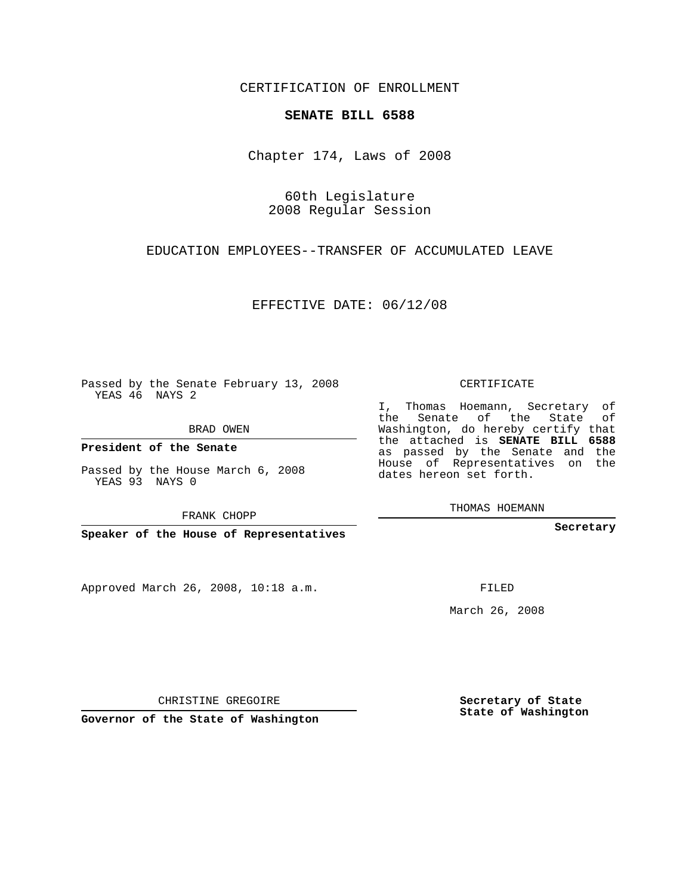CERTIFICATION OF ENROLLMENT

## **SENATE BILL 6588**

Chapter 174, Laws of 2008

60th Legislature 2008 Regular Session

EDUCATION EMPLOYEES--TRANSFER OF ACCUMULATED LEAVE

EFFECTIVE DATE: 06/12/08

Passed by the Senate February 13, 2008 YEAS 46 NAYS 2

BRAD OWEN

**President of the Senate**

Passed by the House March 6, 2008 YEAS 93 NAYS 0

FRANK CHOPP

**Speaker of the House of Representatives**

Approved March 26, 2008, 10:18 a.m.

CERTIFICATE

I, Thomas Hoemann, Secretary of the Senate of the State of Washington, do hereby certify that the attached is **SENATE BILL 6588** as passed by the Senate and the House of Representatives on the dates hereon set forth.

THOMAS HOEMANN

**Secretary**

FILED

March 26, 2008

**Secretary of State State of Washington**

CHRISTINE GREGOIRE

**Governor of the State of Washington**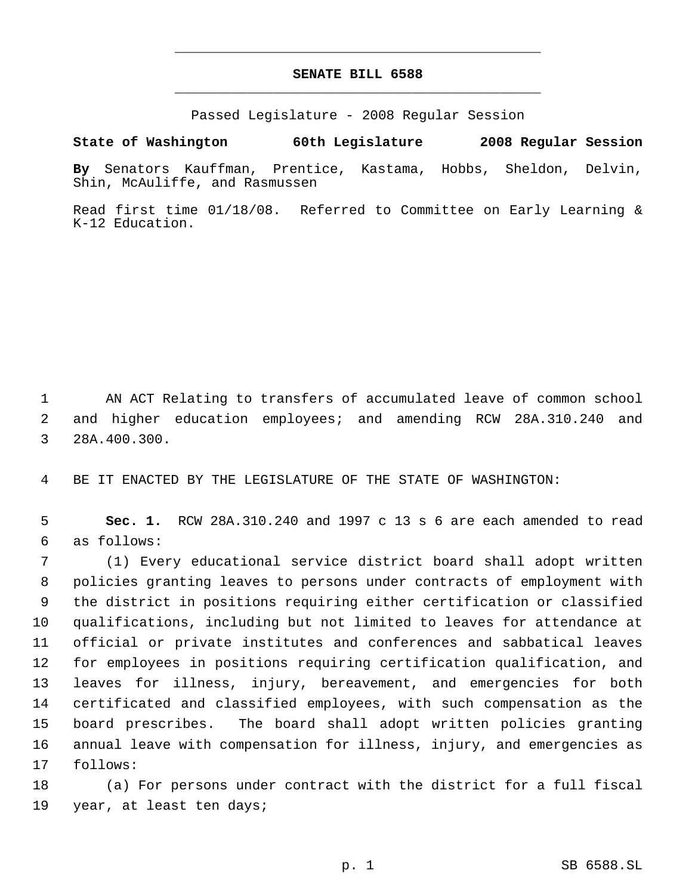## **SENATE BILL 6588** \_\_\_\_\_\_\_\_\_\_\_\_\_\_\_\_\_\_\_\_\_\_\_\_\_\_\_\_\_\_\_\_\_\_\_\_\_\_\_\_\_\_\_\_\_

\_\_\_\_\_\_\_\_\_\_\_\_\_\_\_\_\_\_\_\_\_\_\_\_\_\_\_\_\_\_\_\_\_\_\_\_\_\_\_\_\_\_\_\_\_

Passed Legislature - 2008 Regular Session

**State of Washington 60th Legislature 2008 Regular Session**

**By** Senators Kauffman, Prentice, Kastama, Hobbs, Sheldon, Delvin, Shin, McAuliffe, and Rasmussen

Read first time 01/18/08. Referred to Committee on Early Learning & K-12 Education.

 AN ACT Relating to transfers of accumulated leave of common school and higher education employees; and amending RCW 28A.310.240 and 28A.400.300.

BE IT ENACTED BY THE LEGISLATURE OF THE STATE OF WASHINGTON:

 **Sec. 1.** RCW 28A.310.240 and 1997 c 13 s 6 are each amended to read as follows:

 (1) Every educational service district board shall adopt written policies granting leaves to persons under contracts of employment with the district in positions requiring either certification or classified qualifications, including but not limited to leaves for attendance at official or private institutes and conferences and sabbatical leaves for employees in positions requiring certification qualification, and leaves for illness, injury, bereavement, and emergencies for both certificated and classified employees, with such compensation as the board prescribes. The board shall adopt written policies granting annual leave with compensation for illness, injury, and emergencies as follows:

 (a) For persons under contract with the district for a full fiscal year, at least ten days;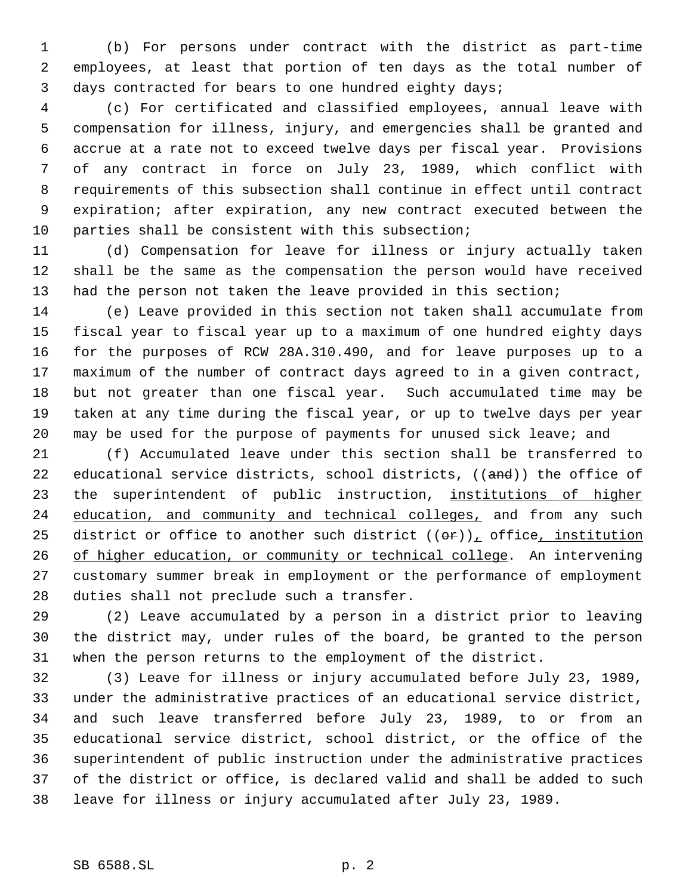(b) For persons under contract with the district as part-time employees, at least that portion of ten days as the total number of days contracted for bears to one hundred eighty days;

 (c) For certificated and classified employees, annual leave with compensation for illness, injury, and emergencies shall be granted and accrue at a rate not to exceed twelve days per fiscal year. Provisions of any contract in force on July 23, 1989, which conflict with requirements of this subsection shall continue in effect until contract expiration; after expiration, any new contract executed between the parties shall be consistent with this subsection;

 (d) Compensation for leave for illness or injury actually taken shall be the same as the compensation the person would have received had the person not taken the leave provided in this section;

 (e) Leave provided in this section not taken shall accumulate from fiscal year to fiscal year up to a maximum of one hundred eighty days for the purposes of RCW 28A.310.490, and for leave purposes up to a maximum of the number of contract days agreed to in a given contract, but not greater than one fiscal year. Such accumulated time may be taken at any time during the fiscal year, or up to twelve days per year may be used for the purpose of payments for unused sick leave; and

 (f) Accumulated leave under this section shall be transferred to 22 educational service districts, school districts, ((and)) the office of 23 the superintendent of public instruction, institutions of higher 24 education, and community and technical colleges, and from any such 25 district or office to another such district  $((\theta \cdot r))_T$  office, institution 26 of higher education, or community or technical college. An intervening customary summer break in employment or the performance of employment duties shall not preclude such a transfer.

 (2) Leave accumulated by a person in a district prior to leaving the district may, under rules of the board, be granted to the person when the person returns to the employment of the district.

 (3) Leave for illness or injury accumulated before July 23, 1989, under the administrative practices of an educational service district, and such leave transferred before July 23, 1989, to or from an educational service district, school district, or the office of the superintendent of public instruction under the administrative practices of the district or office, is declared valid and shall be added to such leave for illness or injury accumulated after July 23, 1989.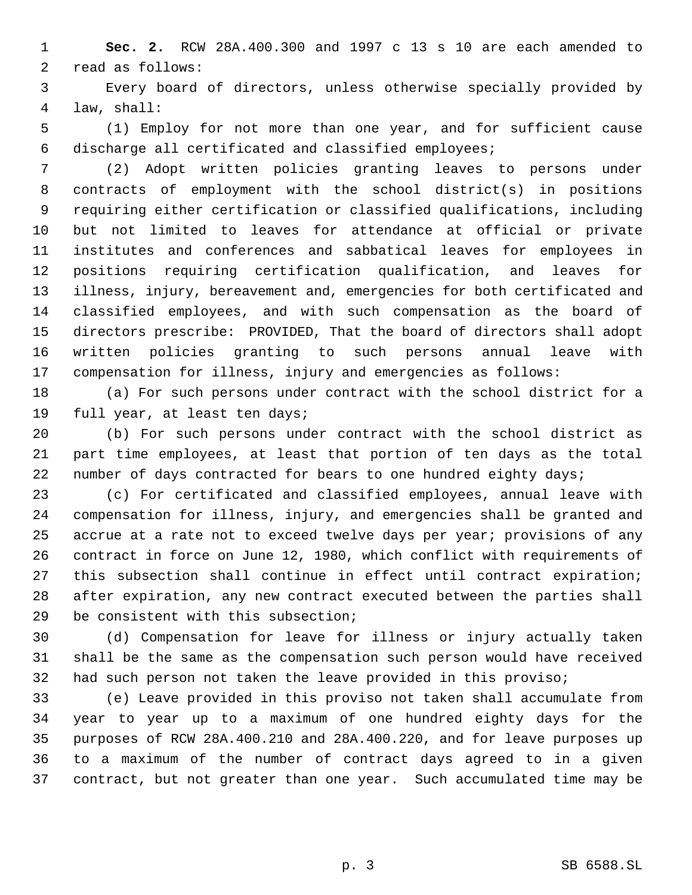**Sec. 2.** RCW 28A.400.300 and 1997 c 13 s 10 are each amended to read as follows:

 Every board of directors, unless otherwise specially provided by law, shall:

 (1) Employ for not more than one year, and for sufficient cause discharge all certificated and classified employees;

 (2) Adopt written policies granting leaves to persons under contracts of employment with the school district(s) in positions requiring either certification or classified qualifications, including but not limited to leaves for attendance at official or private institutes and conferences and sabbatical leaves for employees in positions requiring certification qualification, and leaves for illness, injury, bereavement and, emergencies for both certificated and classified employees, and with such compensation as the board of directors prescribe: PROVIDED, That the board of directors shall adopt written policies granting to such persons annual leave with compensation for illness, injury and emergencies as follows:

 (a) For such persons under contract with the school district for a full year, at least ten days;

 (b) For such persons under contract with the school district as part time employees, at least that portion of ten days as the total 22 number of days contracted for bears to one hundred eighty days;

 (c) For certificated and classified employees, annual leave with compensation for illness, injury, and emergencies shall be granted and accrue at a rate not to exceed twelve days per year; provisions of any contract in force on June 12, 1980, which conflict with requirements of this subsection shall continue in effect until contract expiration; after expiration, any new contract executed between the parties shall be consistent with this subsection;

 (d) Compensation for leave for illness or injury actually taken shall be the same as the compensation such person would have received had such person not taken the leave provided in this proviso;

 (e) Leave provided in this proviso not taken shall accumulate from year to year up to a maximum of one hundred eighty days for the purposes of RCW 28A.400.210 and 28A.400.220, and for leave purposes up to a maximum of the number of contract days agreed to in a given contract, but not greater than one year. Such accumulated time may be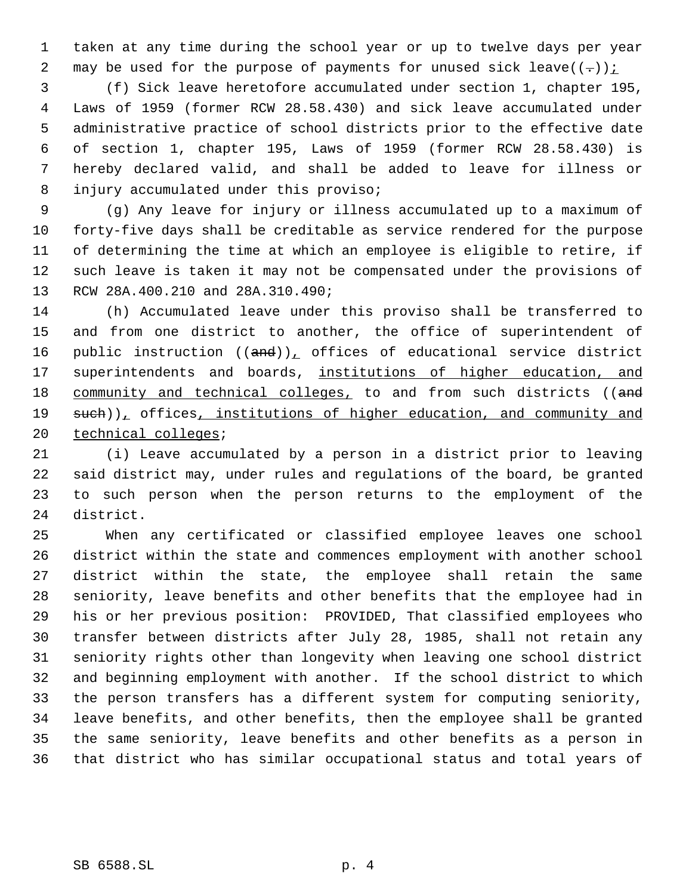taken at any time during the school year or up to twelve days per year 2 may be used for the purpose of payments for unused sick leave( $(-)$ ):

 (f) Sick leave heretofore accumulated under section 1, chapter 195, Laws of 1959 (former RCW 28.58.430) and sick leave accumulated under administrative practice of school districts prior to the effective date of section 1, chapter 195, Laws of 1959 (former RCW 28.58.430) is hereby declared valid, and shall be added to leave for illness or injury accumulated under this proviso;

 (g) Any leave for injury or illness accumulated up to a maximum of forty-five days shall be creditable as service rendered for the purpose of determining the time at which an employee is eligible to retire, if such leave is taken it may not be compensated under the provisions of RCW 28A.400.210 and 28A.310.490;

 (h) Accumulated leave under this proviso shall be transferred to and from one district to another, the office of superintendent of 16 public instruction  $((and))_{\text{L}}$  offices of educational service district 17 superintendents and boards, institutions of higher education, and 18 community and technical colleges, to and from such districts ((and 19 such)), offices, institutions of higher education, and community and 20 technical colleges;

 (i) Leave accumulated by a person in a district prior to leaving said district may, under rules and regulations of the board, be granted to such person when the person returns to the employment of the district.

 When any certificated or classified employee leaves one school district within the state and commences employment with another school district within the state, the employee shall retain the same seniority, leave benefits and other benefits that the employee had in his or her previous position: PROVIDED, That classified employees who transfer between districts after July 28, 1985, shall not retain any seniority rights other than longevity when leaving one school district and beginning employment with another. If the school district to which the person transfers has a different system for computing seniority, leave benefits, and other benefits, then the employee shall be granted the same seniority, leave benefits and other benefits as a person in that district who has similar occupational status and total years of